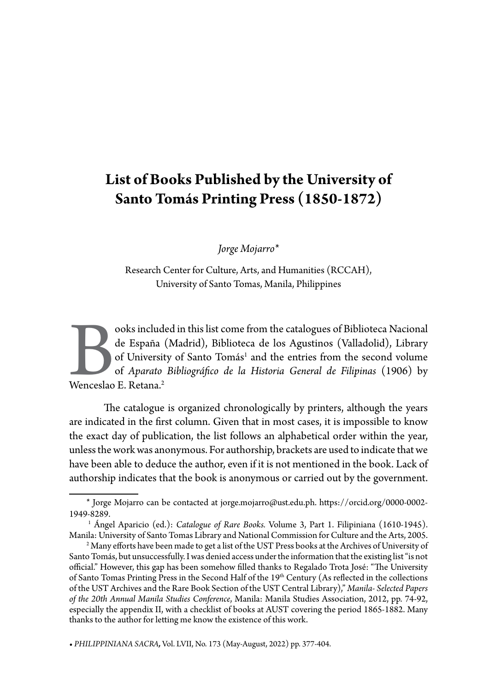# **List of Books Published by the University of Santo Tomás Printing Press (1850-1872)**

*Jorge Mojarro\**

Research Center for Culture, Arts, and Humanities (RCCAH), University of Santo Tomas, Manila, Philippines

ooks included in this list come from the catalogues of Biblioteca Nacional<br>de España (Madrid), Biblioteca de los Agustinos (Valladolid), Library<br>of University of Santo Tomás<sup>1</sup> and the entries from the second volume<br>of *Ap* de España (Madrid), Biblioteca de los Agustinos (Valladolid), Library of University of Santo Tomás<sup>1</sup> and the entries from the second volume of *Aparato Bibliográfico de la Historia General de Filipinas* (1906) by Wenceslao E. Retana.2

The catalogue is organized chronologically by printers, although the years are indicated in the first column. Given that in most cases, it is impossible to know the exact day of publication, the list follows an alphabetical order within the year, unless the work was anonymous. For authorship, brackets are used to indicate that we have been able to deduce the author, even if it is not mentioned in the book. Lack of authorship indicates that the book is anonymous or carried out by the government.

**•** *PHILIPPINIANA SACRA,* Vol. LVII, No. 173 (May-August, 2022) pp. 377-404.

<sup>\*</sup> Jorge Mojarro can be contacted at jorge.mojarro@ust.edu.ph. https://orcid.org/0000-0002- 1949-8289. 1 Ángel Aparicio (ed.): *Catalogue of Rare Books.* Volume 3, Part 1. Filipiniana (1610-1945).

Manila: University of Santo Tomas Library and National Commission for Culture and the Arts, 2005.

 $^{\rm 2}$  Many efforts have been made to get a list of the UST Press books at the Archives of University of Santo Tomás, but unsuccessfully. I was denied access under the information that the existing list "is not official." However, this gap has been somehow filled thanks to Regalado Trota José: "The University of Santo Tomas Printing Press in the Second Half of the 19<sup>th</sup> Century (As reflected in the collections of the UST Archives and the Rare Book Section of the UST Central Library)," *Manila- Selected Papers of the 20th Annual Manila Studies Conference*, Manila: Manila Studies Association, 2012, pp. 74-92, especially the appendix II, with a checklist of books at AUST covering the period 1865-1882. Many thanks to the author for letting me know the existence of this work.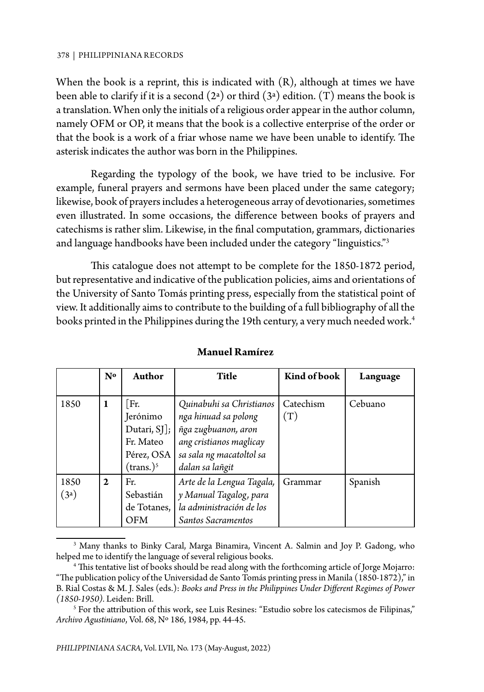When the book is a reprint, this is indicated with (R), although at times we have been able to clarify if it is a second  $(2^a)$  or third  $(3^a)$  edition. (T) means the book is a translation. When only the initials of a religious order appear in the author column, namely OFM or OP, it means that the book is a collective enterprise of the order or that the book is a work of a friar whose name we have been unable to identify. The asterisk indicates the author was born in the Philippines.

Regarding the typology of the book, we have tried to be inclusive. For example, funeral prayers and sermons have been placed under the same category; likewise, book of prayers includes a heterogeneous array of devotionaries, sometimes even illustrated. In some occasions, the difference between books of prayers and catechisms is rather slim. Likewise, in the final computation, grammars, dictionaries and language handbooks have been included under the category "linguistics."3

This catalogue does not attempt to be complete for the 1850-1872 period, but representative and indicative of the publication policies, aims and orientations of the University of Santo Tomás printing press, especially from the statistical point of view. It additionally aims to contribute to the building of a full bibliography of all the books printed in the Philippines during the 19th century, a very much needed work.<sup>4</sup>

|      | $\mathbf{N}^{\mathbf{o}}$ | Author           | <b>Title</b>              | Kind of book | Language |
|------|---------------------------|------------------|---------------------------|--------------|----------|
|      |                           |                  |                           |              |          |
| 1850 | 1                         | Fr.              | Quinabuhi sa Christianos  | Catechism    | Cebuano  |
|      |                           | Jerónimo         | nga hinuad sa polong      | (T)          |          |
|      |                           | Dutari, $SI$ ];  | ñga zugbuanon, aron       |              |          |
|      |                           | Fr. Mateo        | ang cristianos maglicay   |              |          |
|      |                           | Pérez, OSA       | sa sala ng macatoltol sa  |              |          |
|      |                           | $($ trans. $)^5$ | dalan sa lañgit           |              |          |
| 1850 | $\mathbf{2}$              | Fr.              | Arte de la Lengua Tagala, | Grammar      | Spanish  |
| (3a) |                           | Sebastián        | y Manual Tagalog, para    |              |          |
|      |                           | de Totanes,      | la administración de los  |              |          |
|      |                           | <b>OFM</b>       | Santos Sacramentos        |              |          |

#### **Manuel Ramírez**

<sup>3</sup> Many thanks to Binky Caral, Marga Binamira, Vincent A. Salmin and Joy P. Gadong, who helped me to identify the language of several religious books.

<sup>4</sup> This tentative list of books should be read along with the forthcoming article of Jorge Mojarro: "The publication policy of the Universidad de Santo Tomás printing press in Manila (1850-1872)," in B. Rial Costas & M. J. Sales (eds.): *Books and Press in the Philippines Under Different Regimes of Power (1850-1950).* Leiden: Brill.

<sup>&</sup>lt;sup>5</sup> For the attribution of this work, see Luis Resines: "Estudio sobre los catecismos de Filipinas," *Archivo Agustiniano*, Vol. 68, Nº 186, 1984, pp. 44-45.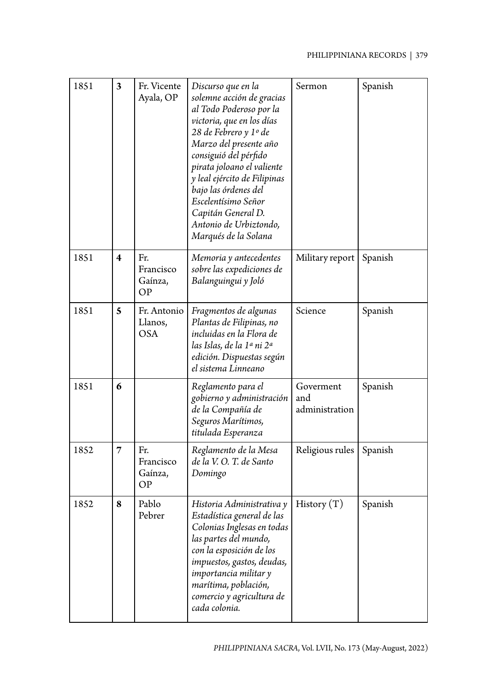| 1851 | 3                       | Fr. Vicente<br>Ayala, OP             | Discurso que en la<br>solemne acción de gracias<br>al Todo Poderoso por la<br>victoria, que en los días<br>28 de Febrero y 1º de<br>Marzo del presente año<br>consiguió del pérfido<br>pirata joloano el valiente<br>y leal ejército de Filipinas<br>bajo las órdenes del<br>Escelentísimo Señor<br>Capitán General D.<br>Antonio de Urbiztondo,<br>Marqués de la Solana | Sermon                             | Spanish |
|------|-------------------------|--------------------------------------|--------------------------------------------------------------------------------------------------------------------------------------------------------------------------------------------------------------------------------------------------------------------------------------------------------------------------------------------------------------------------|------------------------------------|---------|
| 1851 | $\overline{\mathbf{4}}$ | Fr.<br>Francisco<br>Gaínza,<br>OP    | Memoria y antecedentes<br>sobre las expediciones de<br>Balanguingui y Joló                                                                                                                                                                                                                                                                                               | Military report                    | Spanish |
| 1851 | 5                       | Fr. Antonio<br>Llanos,<br><b>OSA</b> | Fragmentos de algunas<br>Plantas de Filipinas, no<br>incluidas en la Flora de<br>las Islas, de la 1ª ni 2ª<br>edición. Dispuestas según<br>el sistema Linneano                                                                                                                                                                                                           | Science                            | Spanish |
| 1851 | 6                       |                                      | Reglamento para el<br>gobierno y administración<br>de la Compañía de<br>Seguros Marítimos,<br>titulada Esperanza                                                                                                                                                                                                                                                         | Goverment<br>and<br>administration | Spanish |
| 1852 | 7                       | Fr.<br>Francisco<br>Gaínza,<br>OP    | Reglamento de la Mesa<br>de la V. O. T. de Santo<br>Domingo                                                                                                                                                                                                                                                                                                              | Religious rules                    | Spanish |
| 1852 | 8                       | Pablo<br>Pebrer                      | Historia Administrativa y   History $(T)$<br>Estadística general de las<br>Colonias Inglesas en todas<br>las partes del mundo,<br>con la esposición de los<br>impuestos, gastos, deudas,<br>importancia militar y<br>marítima, población,<br>comercio y agricultura de<br>cada colonia.                                                                                  |                                    | Spanish |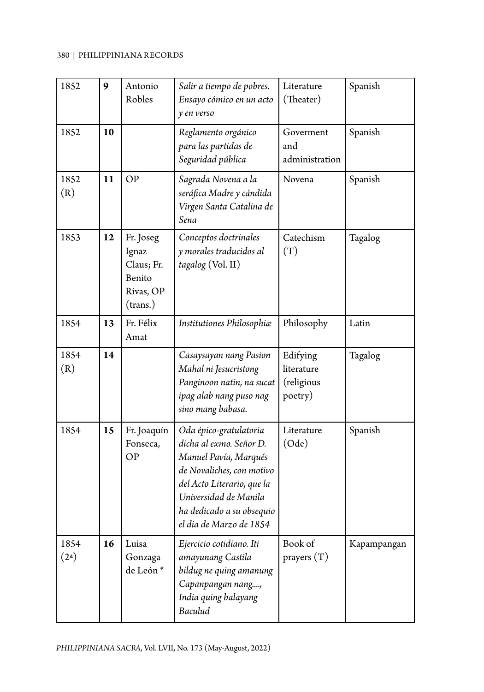| 1852                      | 9  | Antonio<br>Robles                                                   | Salir a tiempo de pobres.<br>Ensayo cómico en un acto<br>y en verso                                                                                                                                                    | Literature<br>(Theater)                         | Spanish     |
|---------------------------|----|---------------------------------------------------------------------|------------------------------------------------------------------------------------------------------------------------------------------------------------------------------------------------------------------------|-------------------------------------------------|-------------|
| 1852                      | 10 |                                                                     | Reglamento orgánico<br>para las partidas de<br>Seguridad pública                                                                                                                                                       | Goverment<br>and<br>administration              | Spanish     |
| 1852<br>(R)               | 11 | OP                                                                  | Sagrada Novena a la<br>seráfica Madre y cándida<br>Virgen Santa Catalina de<br>Sena                                                                                                                                    | Novena                                          | Spanish     |
| 1853                      | 12 | Fr. Joseg<br>Ignaz<br>Claus; Fr.<br>Benito<br>Rivas, OP<br>(trans.) | Conceptos doctrinales<br>y morales traducidos al<br>tagalog (Vol. II)                                                                                                                                                  | Catechism<br>(T)                                | Tagalog     |
| 1854                      | 13 | Fr. Félix<br>Amat                                                   | Institutiones Philosophiæ                                                                                                                                                                                              | Philosophy                                      | Latin       |
| 1854<br>(R)               | 14 |                                                                     | Casaysayan nang Pasion<br>Mahal ni Jesucristong<br>Panginoon natin, na sucat<br>ipag alab nang puso nag<br>sino mang babasa.                                                                                           | Edifying<br>literature<br>(religious<br>poetry) | Tagalog     |
| 1854                      | 15 | Fr. Joaquín<br>Fonseca,<br><b>OP</b>                                | Oda épico-gratulatoria<br>dicha al exmo. Señor D.<br>Manuel Pavía, Marqués<br>de Novaliches, con motivo<br>del Acto Literario, que la<br>Universidad de Manila<br>ha dedicado a su obsequio<br>el dia de Marzo de 1854 | Literature<br>(Ode)                             | Spanish     |
| 1854<br>(2 <sup>a</sup> ) | 16 | Luisa<br>Gonzaga<br>de León*                                        | Ejercicio cotidiano. Iti<br>amayunang Castila<br>bildug ne quing amanung<br>Capanpangan nang,<br>India quing balayang<br>Baculud                                                                                       | Book of<br>prayers $(T)$                        | Kapampangan |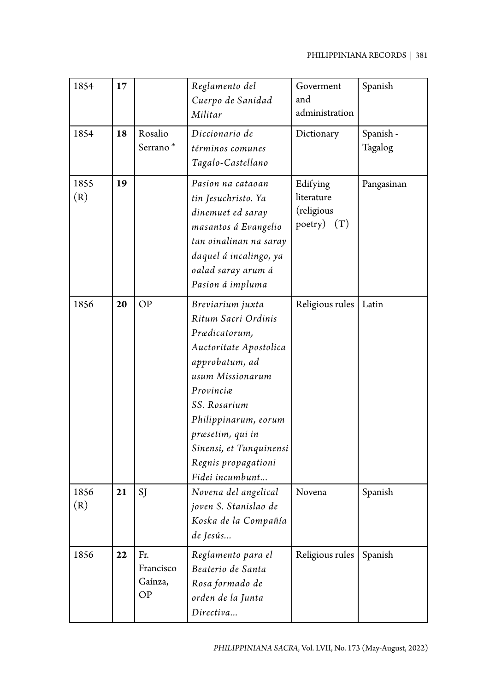| 1854        | 17 |                                   | Reglamento del<br>Cuerpo de Sanidad<br>Militar                                                                                                                                                                                                                         | Goverment<br>and<br>administration                    | Spanish              |
|-------------|----|-----------------------------------|------------------------------------------------------------------------------------------------------------------------------------------------------------------------------------------------------------------------------------------------------------------------|-------------------------------------------------------|----------------------|
| 1854        | 18 | Rosalio<br>Serrano*               | Diccionario de<br>términos comunes<br>Tagalo-Castellano                                                                                                                                                                                                                | Dictionary                                            | Spanish -<br>Tagalog |
| 1855<br>(R) | 19 |                                   | Pasion na cataoan<br>tin Jesuchristo. Ya<br>dinemuet ed saray<br>masantos á Evangelio<br>tan oinalinan na saray<br>daquel á incalingo, ya<br>oalad saray arum á<br>Pasion á impluma                                                                                    | Edifying<br>literature<br>(religious<br>poetry) $(T)$ | Pangasinan           |
| 1856        | 20 | <b>OP</b>                         | Breviarium juxta<br>Ritum Sacri Ordinis<br>Prædicatorum,<br>Auctoritate Apostolica<br>approbatum, ad<br>usum Missionarum<br>Provincia<br>SS. Rosarium<br>Philippinarum, eorum<br>præsetim, qui in<br>Sinensi, et Tunquinensi<br>Regnis propagationi<br>Fidei incumbunt | Religious rules                                       | Latin                |
| 1856<br>(R) | 21 | SJ                                | Novena del angelical<br>joven S. Stanislao de<br>Koska de la Compañía<br>de Jesús                                                                                                                                                                                      | Novena                                                | Spanish              |
| 1856        | 22 | Fr.<br>Francisco<br>Gaínza,<br>OP | Reglamento para el<br>Beaterio de Santa<br>Rosa formado de<br>orden de la Junta<br>Directiva                                                                                                                                                                           | Religious rules                                       | Spanish              |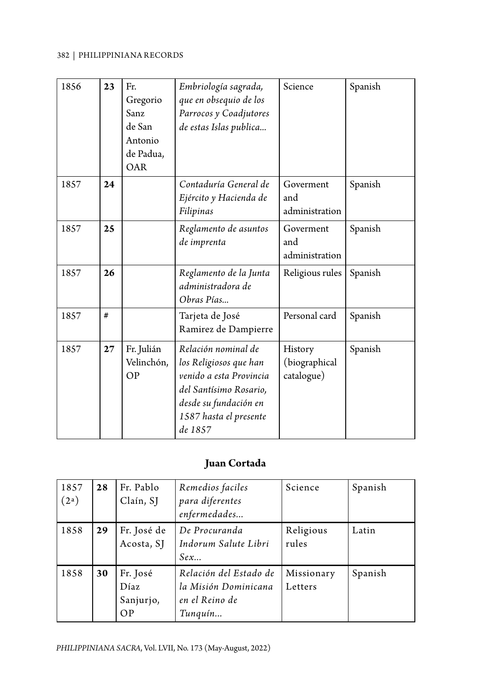| 1856 | 23 | Fr.<br>Gregorio<br>Sanz<br>de San<br>Antonio<br>de Padua,<br>OAR | Embriología sagrada,<br>que en obsequio de los<br>Parrocos y Coadjutores<br>de estas Islas publica                                                               | Science                                | Spanish |
|------|----|------------------------------------------------------------------|------------------------------------------------------------------------------------------------------------------------------------------------------------------|----------------------------------------|---------|
| 1857 | 24 |                                                                  | Contaduría General de<br>Ejército y Hacienda de<br>Filipinas                                                                                                     | Goverment<br>and<br>administration     | Spanish |
| 1857 | 25 |                                                                  | Reglamento de asuntos<br>de imprenta                                                                                                                             | Goverment<br>and<br>administration     | Spanish |
| 1857 | 26 |                                                                  | Reglamento de la Junta<br>administradora de<br>Obras Pías                                                                                                        | Religious rules                        | Spanish |
| 1857 | #  |                                                                  | Tarjeta de José<br>Ramirez de Dampierre                                                                                                                          | Personal card                          | Spanish |
| 1857 | 27 | Fr. Julián<br>Velinchón,<br>OP                                   | Relación nominal de<br>los Religiosos que han<br>venido a esta Provincia<br>del Santísimo Rosario,<br>desde su fundación en<br>1587 hasta el presente<br>de 1857 | History<br>(biographical<br>catalogue) | Spanish |

## **Juan Cortada**

| 1857<br>(2 <sup>a</sup> ) | 28 | Fr. Pablo<br>Claín, SJ              | Remedios faciles<br>para diferentes<br>enfermedades                         | Science               | Spanish |
|---------------------------|----|-------------------------------------|-----------------------------------------------------------------------------|-----------------------|---------|
| 1858                      | 29 | Fr. José de<br>Acosta, SJ           | De Procuranda<br>Indorum Salute Libri<br>Sex                                | Religious<br>rules    | Latin   |
| 1858                      | 30 | Fr. José<br>Díaz<br>Sanjurjo,<br>OP | Relación del Estado de<br>la Misión Dominicana<br>en el Reino de<br>Tunquín | Missionary<br>Letters | Spanish |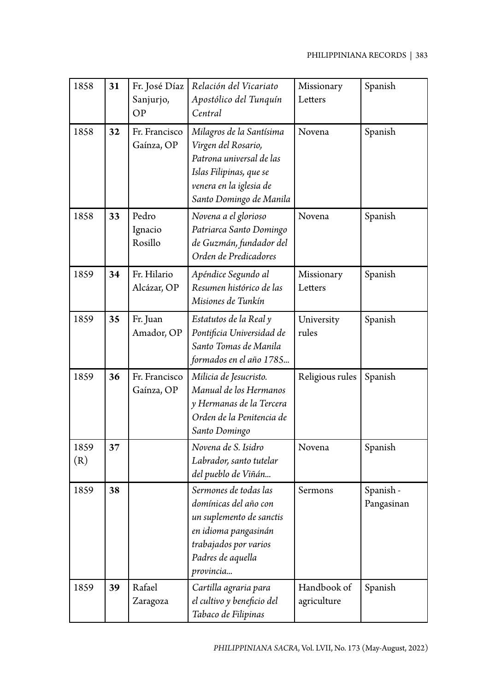| 1858        | 31 | Fr. José Díaz<br>Sanjurjo,<br>OP | Relación del Vicariato<br>Apostólico del Tunquín<br>Central                                                                                                   | Missionary<br>Letters      | Spanish                 |
|-------------|----|----------------------------------|---------------------------------------------------------------------------------------------------------------------------------------------------------------|----------------------------|-------------------------|
| 1858        | 32 | Fr. Francisco<br>Gaínza, OP      | Milagros de la Santísima<br>Virgen del Rosario,<br>Patrona universal de las<br>Islas Filipinas, que se<br>venera en la iglesia de<br>Santo Domingo de Manila  | Novena                     | Spanish                 |
| 1858        | 33 | Pedro<br>Ignacio<br>Rosillo      | Novena a el glorioso<br>Patriarca Santo Domingo<br>de Guzmán, fundador del<br>Orden de Predicadores                                                           | Novena                     | Spanish                 |
| 1859        | 34 | Fr. Hilario<br>Alcázar, OP       | Apéndice Segundo al<br>Resumen histórico de las<br>Misiones de Tunkín                                                                                         | Missionary<br>Letters      | Spanish                 |
| 1859        | 35 | Fr. Juan<br>Amador, OP           | Estatutos de la Real y<br>Pontificia Universidad de<br>Santo Tomas de Manila<br>formados en el año 1785                                                       | University<br>rules        | Spanish                 |
| 1859        | 36 | Fr. Francisco<br>Gaínza, OP      | Milicia de Jesucristo.<br>Manual de los Hermanos<br>y Hermanas de la Tercera<br>Orden de la Penitencia de<br>Santo Domingo                                    | Religious rules            | Spanish                 |
| 1859<br>(R) | 37 |                                  | Novena de S. Isidro<br>Labrador, santo tutelar<br>del pueblo de Viñán                                                                                         | Novena                     | Spanish                 |
| 1859        | 38 |                                  | Sermones de todas las<br>domínicas del año con<br>un suplemento de sanctis<br>en idioma pangasinán<br>trabajados por varios<br>Padres de aquella<br>provincia | Sermons                    | Spanish -<br>Pangasinan |
| 1859        | 39 | Rafael<br>Zaragoza               | Cartilla agraria para<br>el cultivo y beneficio del<br>Tabaco de Filipinas                                                                                    | Handbook of<br>agriculture | Spanish                 |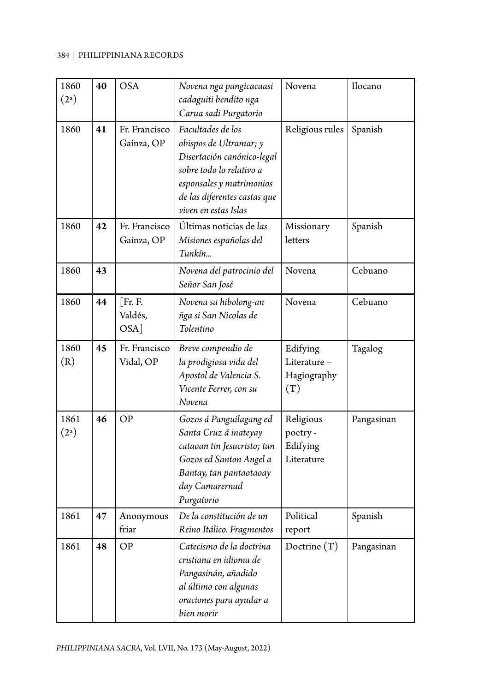| 1860<br>(2 <sup>a</sup> ) | 40 | <b>OSA</b>                    | Novena nga pangicacaasi<br>cadaguiti bendito nga<br>Carua sadi Purgatorio                                                                                                                 | Novena                                          | Ilocano    |
|---------------------------|----|-------------------------------|-------------------------------------------------------------------------------------------------------------------------------------------------------------------------------------------|-------------------------------------------------|------------|
| 1860                      | 41 | Fr. Francisco<br>Gaínza, OP   | Facultades de los<br>obispos de Ultramar; y<br>Disertación canónico-legal<br>sobre todo lo relativo a<br>esponsales y matrimonios<br>de las diferentes castas que<br>viven en estas Islas | Religious rules                                 | Spanish    |
| 1860                      | 42 | Fr. Francisco<br>Gaínza, OP   | Últimas noticias de las<br>Misiones españolas del<br>Tunkín                                                                                                                               | Missionary<br>letters                           | Spanish    |
| 1860                      | 43 |                               | Novena del patrocinio del<br>Señor San José                                                                                                                                               | Novena                                          | Cebuano    |
| 1860                      | 44 | [Fr. F.<br>Valdés,<br>$OSA$ ] | Novena sa hibolong-an<br>ñga si San Nicolas de<br>Tolentino                                                                                                                               | Novena                                          | Cebuano    |
| 1860<br>(R)               | 45 | Fr. Francisco<br>Vidal, OP    | Breve compendio de<br>la prodigiosa vida del<br>Apostol de Valencia S.<br>Vicente Ferrer, con su<br>Novena                                                                                | Edifying<br>Literature-<br>Hagiography<br>(T)   | Tagalog    |
| 1861<br>(2 <sup>a</sup> ) | 46 | OP                            | Gozos á Panguilagang ed<br>Santa Cruz á inateyay<br>cataoan tin Jesucristo; tan<br>Gozos ed Santon Angel a<br>Bantay, tan pantaotaoay<br>day Camarernad<br>Purgatorio                     | Religious<br>poetry -<br>Edifying<br>Literature | Pangasinan |
| 1861                      | 47 | Anonymous<br>friar            | De la constitución de un<br>Reino Itálico. Fragmentos                                                                                                                                     | Political<br>report                             | Spanish    |
| 1861                      | 48 | OP                            | Catecismo de la doctrina<br>cristiana en idioma de<br>Pangasinán, añadido<br>al último con algunas<br>oraciones para ayudar a<br>bien morir                                               | Doctrine $(T)$                                  | Pangasinan |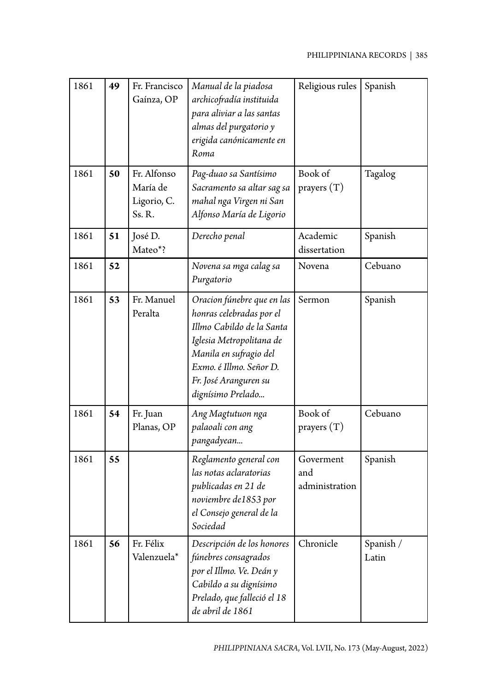| 1861 | 49 | Fr. Francisco<br>Gaínza, OP                     | Manual de la piadosa<br>archicofradía instituida<br>para aliviar a las santas<br>almas del purgatorio y<br>erigida canónicamente en<br>Roma                                                                        | Religious rules                    | Spanish            |
|------|----|-------------------------------------------------|--------------------------------------------------------------------------------------------------------------------------------------------------------------------------------------------------------------------|------------------------------------|--------------------|
| 1861 | 50 | Fr. Alfonso<br>María de<br>Ligorio, C.<br>Ss.R. | Pag-duao sa Santísimo<br>Sacramento sa altar sag sa<br>mahal nga Virgen ni San<br>Alfonso María de Ligorio                                                                                                         | Book of<br>prayers $(T)$           | Tagalog            |
| 1861 | 51 | José D.<br>Mateo*?                              | Derecho penal                                                                                                                                                                                                      | Academic<br>dissertation           | Spanish            |
| 1861 | 52 |                                                 | Novena sa mga calag sa<br>Purgatorio                                                                                                                                                                               | Novena                             | Cebuano            |
| 1861 | 53 | Fr. Manuel<br>Peralta                           | Oracion fúnebre que en las<br>honras celebradas por el<br>Illmo Cabildo de la Santa<br>Iglesia Metropolitana de<br>Manila en sufragio del<br>Exmo. é Illmo. Señor D.<br>Fr. José Aranguren su<br>dignísimo Prelado | Sermon                             | Spanish            |
| 1861 | 54 | Fr. Juan<br>Planas, OP                          | Ang Magtutuon nga<br>palaoali con ang<br>pangadyean                                                                                                                                                                | Book of<br>prayers $(T)$           | Cebuano            |
| 1861 | 55 |                                                 | Reglamento general con<br>las notas aclaratorias<br>publicadas en 21 de<br>noviembre de1853 por<br>el Consejo general de la<br>Sociedad                                                                            | Goverment<br>and<br>administration | Spanish            |
| 1861 | 56 | Fr. Félix<br>Valenzuela*                        | Descripción de los honores<br>fúnebres consagrados<br>por el Illmo. Ve. Deán y<br>Cabildo a su dignísimo<br>Prelado, que falleció el 18<br>de abril de 1861                                                        | Chronicle                          | Spanish /<br>Latin |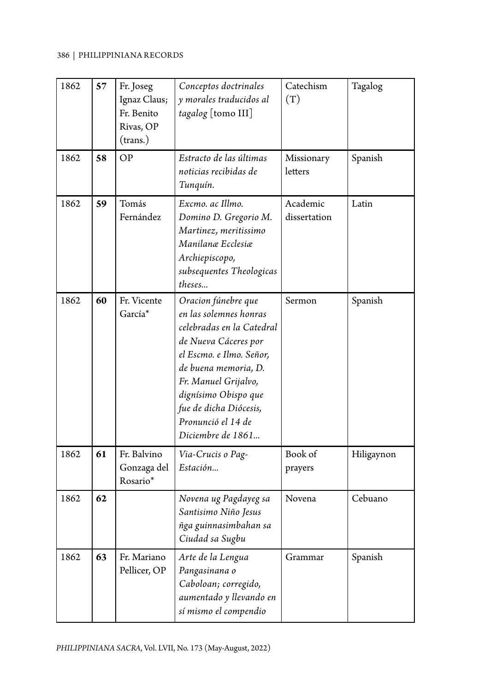| 1862 | 57 | Fr. Joseg<br>Ignaz Claus;<br>Fr. Benito<br>Rivas, OP<br>(trans.) | Conceptos doctrinales<br>y morales traducidos al<br>tagalog [tomo III]                                                                                                                                                                                                      | Catechism<br>(T)         | Tagalog    |
|------|----|------------------------------------------------------------------|-----------------------------------------------------------------------------------------------------------------------------------------------------------------------------------------------------------------------------------------------------------------------------|--------------------------|------------|
| 1862 | 58 | OP                                                               | Estracto de las últimas<br>noticias recibidas de<br>Tunquín.                                                                                                                                                                                                                | Missionary<br>letters    | Spanish    |
| 1862 | 59 | Tomás<br>Fernández                                               | Excmo. ac Illmo.<br>Domino D. Gregorio M.<br>Martinez, meritissimo<br>Manilanæ Ecclesiæ<br>Archiepiscopo,<br>subsequentes Theologicas<br>theses                                                                                                                             | Academic<br>dissertation | Latin      |
| 1862 | 60 | Fr. Vicente<br>García <sup>*</sup>                               | Oracion fúnebre que<br>en las solemnes honras<br>celebradas en la Catedral<br>de Nueva Cáceres por<br>el Escmo. e Ilmo. Señor,<br>de buena memoria, D.<br>Fr. Manuel Grijalvo,<br>dignísimo Obispo que<br>fue de dicha Diócesis,<br>Pronunció el 14 de<br>Diciembre de 1861 | Sermon                   | Spanish    |
| 1862 | 61 | Fr. Balvino<br>Gonzaga del<br>Rosario*                           | Via-Crucis o Pag-<br>Estación                                                                                                                                                                                                                                               | Book of<br>prayers       | Hiligaynon |
| 1862 | 62 |                                                                  | Novena ug Pagdayeg sa<br>Santisimo Niño Jesus<br>ñga guinnasimbahan sa<br>Ciudad sa Sugbu                                                                                                                                                                                   | Novena                   | Cebuano    |
| 1862 | 63 | Fr. Mariano<br>Pellicer, OP                                      | Arte de la Lengua<br>Pangasinana o<br>Caboloan; corregido,<br>aumentado y llevando en<br>sí mismo el compendio                                                                                                                                                              | Grammar                  | Spanish    |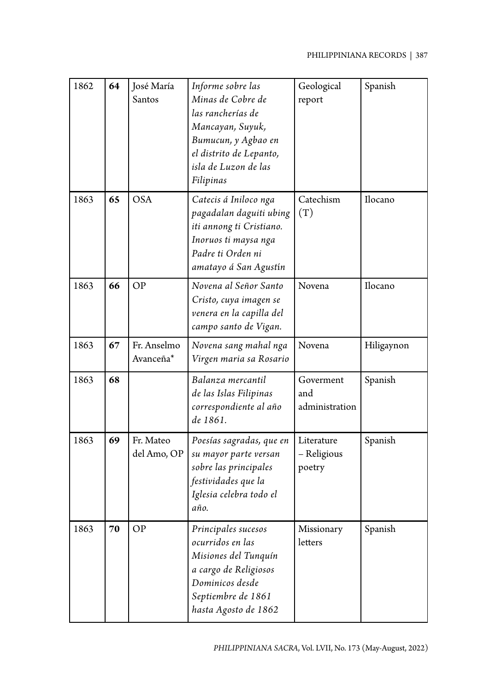| 1862 | 64 | José María<br>Santos     | Informe sobre las<br>Minas de Cobre de<br>las rancherías de<br>Mancayan, Suyuk,<br>Bumucun, y Agbao en<br>el distrito de Lepanto,<br>isla de Luzon de las<br>Filipinas | Geological<br>report                | Spanish    |
|------|----|--------------------------|------------------------------------------------------------------------------------------------------------------------------------------------------------------------|-------------------------------------|------------|
| 1863 | 65 | <b>OSA</b>               | Catecis á Iniloco nga<br>pagadalan daguiti ubing<br>iti annong ti Cristiano.<br>Inoruos ti maysa nga<br>Padre ti Orden ni<br>amatayo á San Agustín                     | Catechism<br>(T)                    | Ilocano    |
| 1863 | 66 | <b>OP</b>                | Novena al Señor Santo<br>Cristo, cuya imagen se<br>venera en la capilla del<br>campo santo de Vigan.                                                                   | Novena                              | Ilocano    |
| 1863 | 67 | Fr. Anselmo<br>Avanceña* | Novena sang mahal nga<br>Virgen maria sa Rosario                                                                                                                       | Novena                              | Hiligaynon |
| 1863 | 68 |                          | Balanza mercantil<br>de las Islas Filipinas<br>correspondiente al año<br>de 1861.                                                                                      | Goverment<br>and<br>administration  | Spanish    |
| 1863 | 69 | Fr. Mateo<br>del Amo, OP | Poesías sagradas, que en<br>su mayor parte versan<br>sobre las principales<br>festividades que la<br>Iglesia celebra todo el<br>ano.                                   | Literature<br>- Religious<br>poetry | Spanish    |
| 1863 | 70 | <b>OP</b>                | Principales sucesos<br>ocurridos en las<br>Misiones del Tunquín<br>a cargo de Religiosos<br>Dominicos desde<br>Septiembre de 1861<br>hasta Agosto de 1862              | Missionary<br>letters               | Spanish    |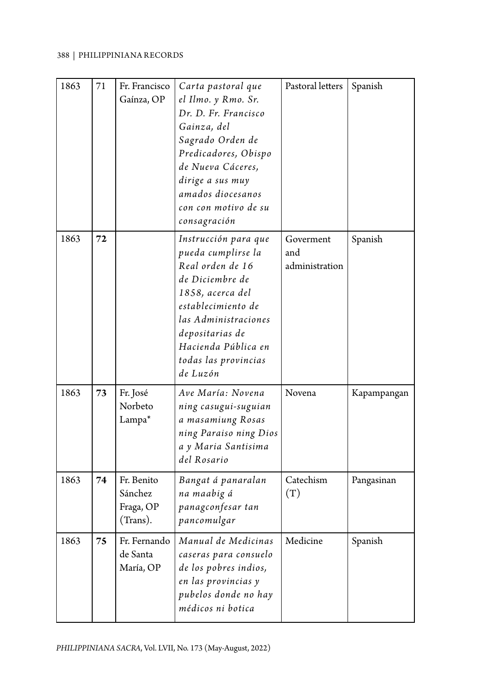| 1863 | 71 | Fr. Francisco<br>Gaínza, OP                    | Carta pastoral que<br>el Ilmo. y Rmo. Sr.<br>Dr. D. Fr. Francisco<br>Gainza, del<br>Sagrado Orden de<br>Predicadores, Obispo<br>de Nueva Cáceres,<br>dirige a sus muy<br>amados diocesanos<br>con con motivo de su<br>consagración | Pastoral letters                   | Spanish     |
|------|----|------------------------------------------------|------------------------------------------------------------------------------------------------------------------------------------------------------------------------------------------------------------------------------------|------------------------------------|-------------|
| 1863 | 72 |                                                | Instrucción para que<br>pueda cumplirse la<br>Real orden de 16<br>de Diciembre de<br>1858, acerca del<br>establecimiento de<br>las Administraciones<br>depositarias de<br>Hacienda Pública en<br>todas las provincias<br>de Luzón  | Goverment<br>and<br>administration | Spanish     |
| 1863 | 73 | Fr. José<br>Norbeto<br>Lampa*                  | Ave María: Novena<br>ning casugui-suguian<br>a masamiung Rosas<br>ning Paraiso ning Dios<br>a y Maria Santisima<br>del Rosario                                                                                                     | Novena                             | Kapampangan |
| 1863 | 74 | Fr. Benito<br>Sánchez<br>Fraga, OP<br>(Trans). | Bangat á panaralan<br>na maabig á<br>panagconfesar tan<br>pancomulgar                                                                                                                                                              | Catechism<br>(T)                   | Pangasinan  |
| 1863 | 75 | Fr. Fernando<br>de Santa<br>María, OP          | Manual de Medicinas<br>caseras para consuelo<br>de los pobres indios,<br>en las provincias y<br>pubelos donde no hay<br>médicos ni botica                                                                                          | Medicine                           | Spanish     |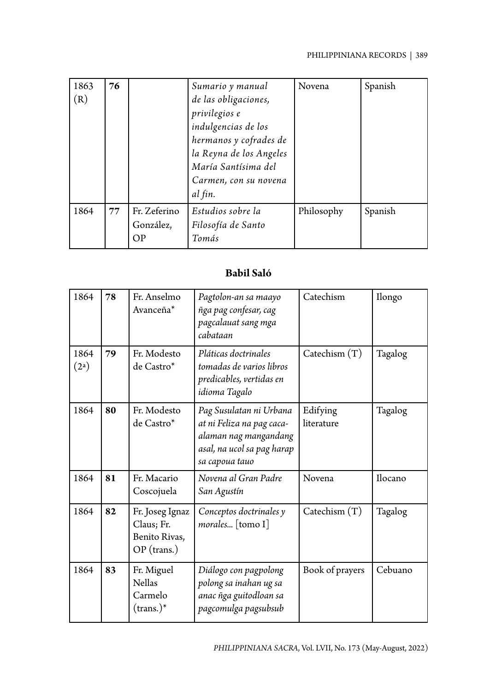| 1863<br>(R) | 76 |                                 | Sumario y manual<br>de las obligaciones,<br>privilegios e<br>indulgencias de los<br>hermanos y cofrades de<br>la Reyna de los Angeles<br>María Santísima del<br>Carmen, con su novena<br>al fin. | Novena     | Spanish |
|-------------|----|---------------------------------|--------------------------------------------------------------------------------------------------------------------------------------------------------------------------------------------------|------------|---------|
| 1864        | 77 | Fr. Zeferino<br>González,<br>ОP | Estudios sobre la<br>Filosofía de Santo<br>Tomás                                                                                                                                                 | Philosophy | Spanish |

# **Babil Saló**

| 1864                      | 78 | Fr. Anselmo<br>Avanceña*                                      | Pagtolon-an sa maayo<br>ñga pag confesar, cag<br>pagcalauat sang mga<br>cabataan                                              | Catechism              | Ilongo  |
|---------------------------|----|---------------------------------------------------------------|-------------------------------------------------------------------------------------------------------------------------------|------------------------|---------|
| 1864<br>(2 <sup>a</sup> ) | 79 | Fr. Modesto<br>de Castro*                                     | Pláticas doctrinales<br>tomadas de varios libros<br>predicables, vertidas en<br>idioma Tagalo                                 | Catechism $(T)$        | Tagalog |
| 1864                      | 80 | Fr. Modesto<br>de Castro*                                     | Pag Susulatan ni Urbana<br>at ni Feliza na pag caca-<br>alaman nag mangandang<br>asal, na ucol sa pag harap<br>sa capoua tauo | Edifying<br>literature | Tagalog |
| 1864                      | 81 | Fr. Macario<br>Coscojuela                                     | Novena al Gran Padre<br>San Agustín                                                                                           | Novena                 | Ilocano |
| 1864                      | 82 | Fr. Joseg Ignaz<br>Claus; Fr.<br>Benito Rivas,<br>OP (trans.) | Conceptos doctrinales y<br>morales [tomo I]                                                                                   | Catechism $(T)$        | Tagalog |
| 1864                      | 83 | Fr. Miguel<br><b>Nellas</b><br>Carmelo<br>$(\text{trans.})^*$ | Diálogo con pagpolong<br>polong sa inahan ug sa<br>anac ñga guitodloan sa<br>pagcomulga pagsubsub                             | Book of prayers        | Cebuano |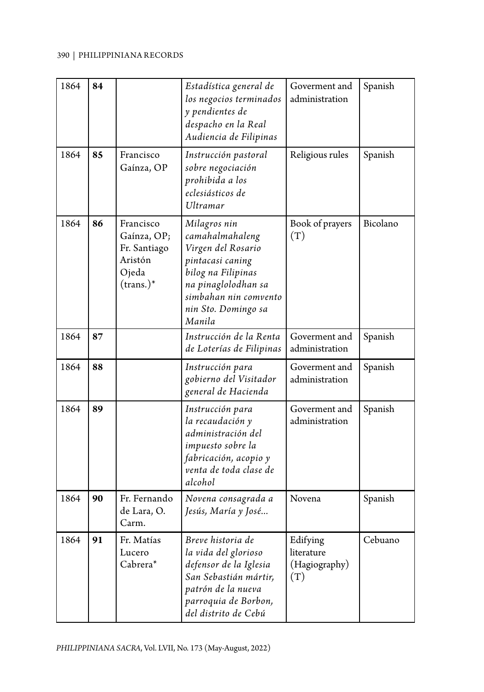| 1864 | 84 |                                                                                     | Estadística general de<br>los negocios terminados<br>y pendientes de<br>despacho en la Real<br>Audiencia de Filipinas                                                            | Goverment and<br>administration                | Spanish  |
|------|----|-------------------------------------------------------------------------------------|----------------------------------------------------------------------------------------------------------------------------------------------------------------------------------|------------------------------------------------|----------|
| 1864 | 85 | Francisco<br>Gaínza, OP                                                             | Instrucción pastoral<br>sobre negociación<br>prohibida a los<br>eclesiásticos de<br><b>Ultramar</b>                                                                              | Religious rules                                | Spanish  |
| 1864 | 86 | Francisco<br>Gaínza, OP;<br>Fr. Santiago<br>Aristón<br>Ojeda<br>$(\text{trans.})^*$ | Milagros nin<br>camahalmahaleng<br>Virgen del Rosario<br>pintacasi caning<br>bilog na Filipinas<br>na pinaglolodhan sa<br>simbahan nin comvento<br>nin Sto. Domingo sa<br>Manila | Book of prayers<br>(T)                         | Bicolano |
| 1864 | 87 |                                                                                     | Instrucción de la Renta<br>de Loterías de Filipinas                                                                                                                              | Goverment and<br>administration                | Spanish  |
| 1864 | 88 |                                                                                     | Instrucción para<br>gobierno del Visitador<br>general de Hacienda                                                                                                                | Goverment and<br>administration                | Spanish  |
| 1864 | 89 |                                                                                     | Instrucción para<br>la recaudación y<br>administración del<br>impuesto sobre la<br>fabricación, acopio y<br>venta de toda clase de<br>alcohol                                    | Goverment and<br>administration                | Spanish  |
| 1864 | 90 | Fr. Fernando<br>de Lara, O.<br>Carm.                                                | Novena consagrada a<br>Jesús, María y José                                                                                                                                       | Novena                                         | Spanish  |
| 1864 | 91 | Fr. Matías<br>Lucero<br>Cabrera*                                                    | Breve historia de<br>la vida del glorioso<br>defensor de la Iglesia<br>San Sebastián mártir,<br>patrón de la nueva<br>parroquia de Borbon,<br>del distrito de Cebú               | Edifying<br>literature<br>(Hagiography)<br>(T) | Cebuano  |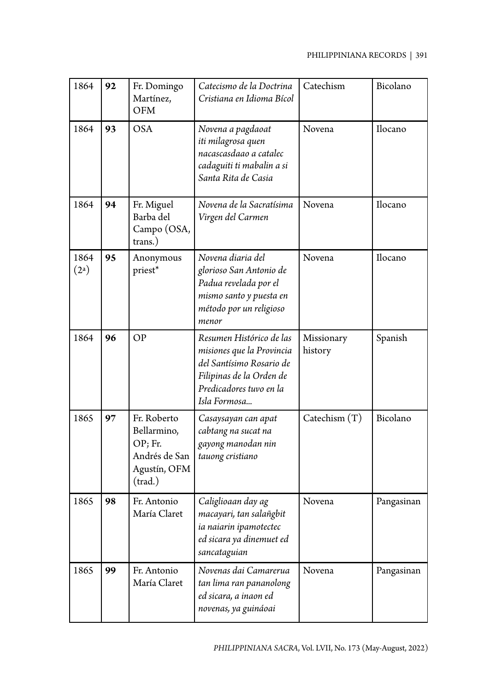| 1864                      | 92 | Fr. Domingo<br>Martínez,<br><b>OFM</b>                                             | Catechism<br>Catecismo de la Doctrina<br>Cristiana en Idioma Bícol                                                                                       |                             | Bicolano   |
|---------------------------|----|------------------------------------------------------------------------------------|----------------------------------------------------------------------------------------------------------------------------------------------------------|-----------------------------|------------|
| 1864                      | 93 | <b>OSA</b>                                                                         | Novena a pagdaoat<br>iti milagrosa quen<br>nacascasdaao a catalec<br>cadaguiti ti mabalin a si<br>Santa Rita de Casia                                    | Novena                      |            |
| 1864                      | 94 | Fr. Miguel<br>Barba del<br>Campo (OSA,<br>trans.)                                  | Novena de la Sacratísima<br>Virgen del Carmen                                                                                                            | Novena<br>Ilocano           |            |
| 1864<br>(2 <sup>a</sup> ) | 95 | Anonymous<br>priest*                                                               | Novena diaria del<br>Novena<br>glorioso San Antonio de<br>Padua revelada por el<br>mismo santo y puesta en<br>método por un religioso<br>menor           |                             | Ilocano    |
| 1864                      | 96 | <b>OP</b>                                                                          | Resumen Histórico de las<br>misiones que la Provincia<br>del Santísimo Rosario de<br>Filipinas de la Orden de<br>Predicadores tuvo en la<br>Isla Formosa | Missionary<br>history       | Spanish    |
| 1865                      | 97 | Fr. Roberto<br>Bellarmino,<br>OP; Fr.<br>Andrés de San<br>Agustín, OFM<br>(train.) | Casaysayan can apat<br>cabtang na sucat na<br>gayong manodan nin<br>tauong cristiano                                                                     | Bicolano<br>Catechism $(T)$ |            |
| 1865                      | 98 | Fr. Antonio<br>María Claret                                                        | Caliglioaan day ag<br>macayari, tan salañgbit<br>ia naiarin ipamotectec<br>ed sicara ya dinemuet ed<br>sancataguian                                      | Novena                      | Pangasinan |
| 1865                      | 99 | Fr. Antonio<br>María Claret                                                        | Novenas dai Camarerua<br>tan lima ran pananolong<br>ed sicara, a inaon ed<br>novenas, ya guináoai                                                        | Novena                      | Pangasinan |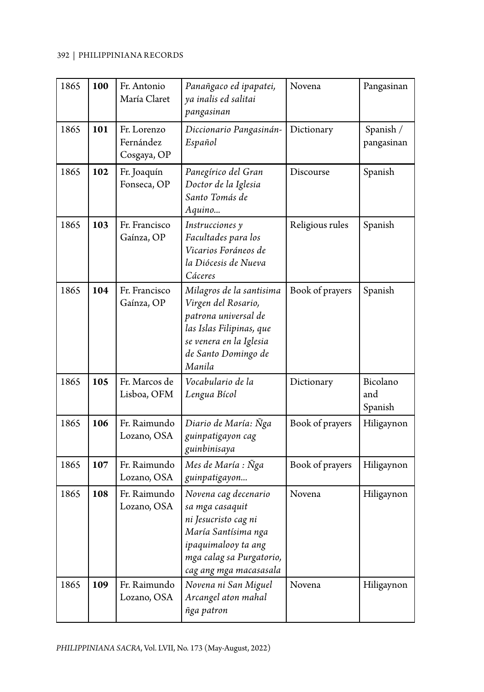| 1865 | 100 | Fr. Antonio<br>María Claret             | Panañgaco ed ipapatei,<br>ya inalis ed salitai<br>pangasinan                                                                                                        | Novena          | Pangasinan                 |
|------|-----|-----------------------------------------|---------------------------------------------------------------------------------------------------------------------------------------------------------------------|-----------------|----------------------------|
| 1865 | 101 | Fr. Lorenzo<br>Fernández<br>Cosgaya, OP | Diccionario Pangasinán-<br>Español                                                                                                                                  | Dictionary      | Spanish /<br>pangasinan    |
| 1865 | 102 | Fr. Joaquín<br>Fonseca, OP              | Panegírico del Gran<br>Doctor de la Iglesia<br>Santo Tomás de<br>Aquino                                                                                             | Discourse       | Spanish                    |
| 1865 | 103 | Fr. Francisco<br>Gaínza, OP             | Instrucciones y<br>Facultades para los<br>Vicarios Foráneos de<br>la Diócesis de Nueva<br>Cáceres                                                                   | Religious rules | Spanish                    |
| 1865 | 104 | Fr. Francisco<br>Gaínza, OP             | Milagros de la santisima<br>Virgen del Rosario,<br>patrona universal de<br>las Islas Filipinas, que<br>se venera en la Iglesia<br>de Santo Domingo de<br>Manila     | Book of prayers | Spanish                    |
| 1865 | 105 | Fr. Marcos de<br>Lisboa, OFM            | Vocabulario de la<br>Lengua Bícol                                                                                                                                   | Dictionary      | Bicolano<br>and<br>Spanish |
| 1865 | 106 | Fr. Raimundo<br>Lozano, OSA             | Diario de María: Ñga<br>guinpatigayon cag<br>guinbinisaya                                                                                                           | Book of prayers | Hiligaynon                 |
| 1865 | 107 | Fr. Raimundo<br>Lozano, OSA             | Mes de María : Ñga<br>guinpatigayon                                                                                                                                 | Book of prayers | Hiligaynon                 |
| 1865 | 108 | Fr. Raimundo<br>Lozano, OSA             | Novena cag decenario<br>sa mga casaquit<br>ni Jesucristo cag ni<br>María Santísima nga<br>ipaquimalooy ta ang<br>mga calag sa Purgatorio,<br>cag ang mga macasasala | Novena          | Hiligaynon                 |
| 1865 | 109 | Fr. Raimundo<br>Lozano, OSA             | Novena ni San Miguel<br>Arcangel aton mahal<br>ñga patron                                                                                                           | Novena          | Hiligaynon                 |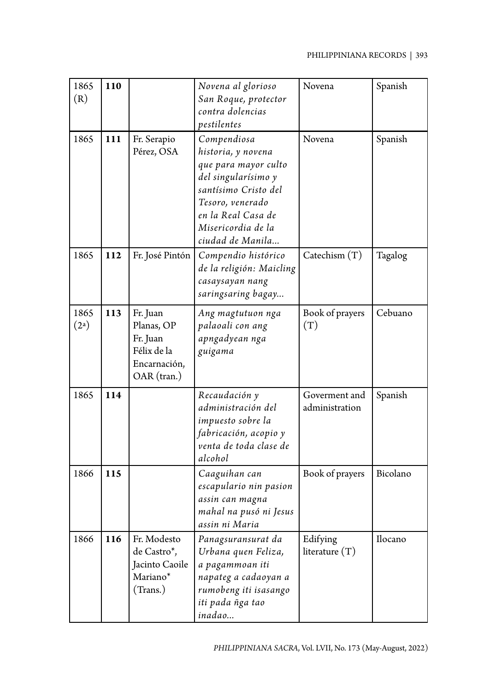| 1865<br>(R)               | <b>110</b> |                                                                                  | Novena al glorioso<br>San Roque, protector<br>contra dolencias<br>pestilentes                                                                                                                | Novena                          | Spanish  |
|---------------------------|------------|----------------------------------------------------------------------------------|----------------------------------------------------------------------------------------------------------------------------------------------------------------------------------------------|---------------------------------|----------|
| 1865                      | 111        | Fr. Serapio<br>Pérez, OSA                                                        | Compendiosa<br>historia, y novena<br>que para mayor culto<br>del singularísimo y<br>santísimo Cristo del<br>Tesoro, venerado<br>en la Real Casa de<br>Misericordia de la<br>ciudad de Manila | Novena                          | Spanish  |
| 1865                      | 112        | Fr. José Pintón                                                                  | Compendio histórico<br>de la religión: Maicling<br>casaysayan nang<br>saringsaring bagay                                                                                                     | Catechism $(T)$                 | Tagalog  |
| 1865<br>(2 <sup>a</sup> ) | 113        | Fr. Juan<br>Planas, OP<br>Fr. Juan<br>Félix de la<br>Encarnación,<br>OAR (tran.) | Ang magtutuon nga<br>palaoali con ang<br>apngadyean nga<br>guigama                                                                                                                           | Book of prayers<br>(T)          | Cebuano  |
| 1865                      | 114        |                                                                                  | Recaudación y<br>administración del<br>impuesto sobre la<br>fabricación, acopio y<br>venta de toda clase de<br>alcohol                                                                       | Goverment and<br>administration | Spanish  |
| 1866                      | 115        |                                                                                  | Caaguihan can<br>escapulario nin pasion<br>assin can magna<br>mahal na pusó ni Jesus<br>assin ni Maria                                                                                       | Book of prayers                 | Bicolano |
| 1866                      | 116        | Fr. Modesto<br>de Castro*,<br>Jacinto Caoile<br>Mariano*<br>(Trans.)             | Panagsuransurat da<br>Urbana quen Feliza,<br>a pagammoan iti<br>napateg a cadaoyan a<br>rumobeng iti isasango<br>iti pada ñga tao<br>inadao                                                  | Edifying<br>literature $(T)$    | Ilocano  |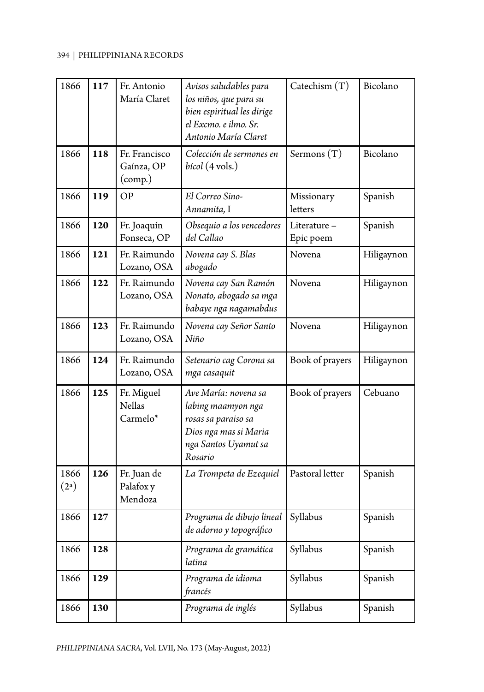| 1866                      | 117 | Fr. Antonio<br>María Claret                                | Avisos saludables para<br>los niños, que para su<br>bien espiritual les dirige<br>el Excmo. e ilmo. Sr.<br>Antonio María Claret | Catechism $(T)$          | Bicolano   |
|---------------------------|-----|------------------------------------------------------------|---------------------------------------------------------------------------------------------------------------------------------|--------------------------|------------|
| 1866                      | 118 | Fr. Francisco<br>Gaínza, OP<br>$\left(\text{comp.}\right)$ | Colección de sermones en<br><i>bícol</i> (4 vols.)                                                                              | Sermons (T)              | Bicolano   |
| 1866                      | 119 | OP                                                         | El Correo Sino-<br>Annamita, I                                                                                                  | Missionary<br>letters    | Spanish    |
| 1866                      | 120 | Fr. Joaquín<br>Fonseca, OP                                 | Obsequio a los vencedores<br>del Callao                                                                                         | Literature-<br>Epic poem | Spanish    |
| 1866                      | 121 | Fr. Raimundo<br>Lozano, OSA                                | Novena cay S. Blas<br>abogado                                                                                                   | Novena                   | Hiligaynon |
| 1866                      | 122 | Fr. Raimundo<br>Lozano, OSA                                | Novena cay San Ramón<br>Nonato, abogado sa mga<br>babaye nga nagamabdus                                                         | Novena                   | Hiligaynon |
| 1866                      | 123 | Fr. Raimundo<br>Lozano, OSA                                | Novena cay Señor Santo<br>Niño                                                                                                  | Novena                   | Hiligaynon |
| 1866                      | 124 | Fr. Raimundo<br>Lozano, OSA                                | Setenario cag Corona sa<br>mga casaquit                                                                                         | Book of prayers          | Hiligaynon |
| 1866                      | 125 | Fr. Miguel<br><b>Nellas</b><br>Carmelo*                    | Ave María: novena sa<br>labing maamyon nga<br>rosas sa paraiso sa<br>Dios nga mas si Maria<br>nga Santos Uyamut sa<br>Rosario   | Book of prayers          | Cebuano    |
| 1866<br>(2 <sup>a</sup> ) | 126 | Fr. Juan de<br>Palafox y<br>Mendoza                        | La Trompeta de Ezequiel                                                                                                         | Pastoral letter          | Spanish    |
| 1866                      | 127 |                                                            | Programa de dibujo lineal<br>de adorno y topográfico                                                                            | Syllabus                 | Spanish    |
| 1866                      | 128 |                                                            | Programa de gramática<br>latina                                                                                                 | Syllabus<br>Spanish      |            |
| 1866                      | 129 |                                                            | Programa de idioma<br>francés                                                                                                   | Syllabus<br>Spanish      |            |
| 1866                      | 130 |                                                            | Programa de inglés                                                                                                              | Syllabus<br>Spanish      |            |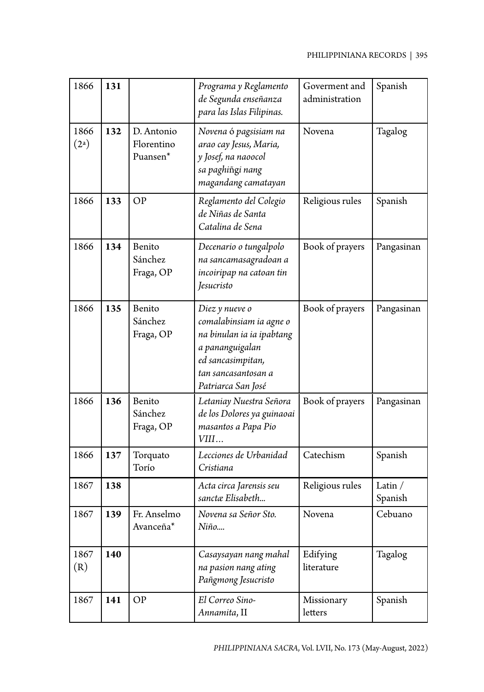| 1866                      | 131 |                                      | Programa y Reglamento<br>de Segunda enseñanza<br>para las Islas Filipinas.                                                                                  | Goverment and<br>administration | Spanish              |
|---------------------------|-----|--------------------------------------|-------------------------------------------------------------------------------------------------------------------------------------------------------------|---------------------------------|----------------------|
| 1866<br>(2 <sup>a</sup> ) | 132 | D. Antonio<br>Florentino<br>Puansen* | Novena ó pagsisiam na<br>arao cay Jesus, Maria,<br>y Josef, na naoocol<br>sa paghiñgi nang<br>magandang camatayan                                           | Novena                          | Tagalog              |
| 1866                      | 133 | <b>OP</b>                            | Reglamento del Colegio<br>de Niñas de Santa<br>Catalina de Sena                                                                                             | Religious rules                 | Spanish              |
| 1866                      | 134 | Benito<br>Sánchez<br>Fraga, OP       | Decenario o tungalpolo<br>na sancamasagradoan a<br>incoiripap na catoan tin<br>Jesucristo                                                                   | Book of prayers                 | Pangasinan           |
| 1866                      | 135 | Benito<br>Sánchez<br>Fraga, OP       | Diez y nueve o<br>comalabinsiam ia agne o<br>na binulan ia ia ipabtang<br>a pananguigalan<br>ed sancasimpitan,<br>tan sancasantosan a<br>Patriarca San José | Book of prayers                 | Pangasinan           |
| 1866                      | 136 | Benito<br>Sánchez<br>Fraga, OP       | Letaniay Nuestra Señora<br>de los Dolores ya guinaoai<br>masantos a Papa Pio<br>VIII                                                                        | Book of prayers                 | Pangasinan           |
| 1866                      | 137 | Torquato<br>Torío                    | Lecciones de Urbanidad<br>Cristiana                                                                                                                         | Catechism                       | Spanish              |
| 1867                      | 138 |                                      | Acta circa Jarensis seu<br>sanctæ Elisabeth                                                                                                                 | Religious rules                 | Latin $/$<br>Spanish |
| 1867                      | 139 | Fr. Anselmo<br>Avanceña*             | Novena sa Señor Sto.<br>Niño                                                                                                                                | Novena                          | Cebuano              |
| 1867<br>(R)               | 140 |                                      | Casaysayan nang mahal<br>na pasion nang ating<br>Pañgmong Jesucristo                                                                                        | Edifying<br>literature          | Tagalog              |
| 1867                      | 141 | OP                                   | El Correo Sino-<br>Annamita, II                                                                                                                             | Missionary<br>letters           | Spanish              |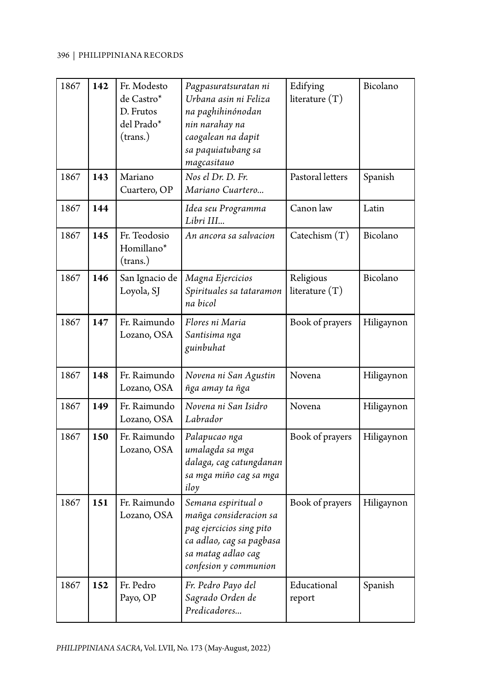| 1867 | 142 | Fr. Modesto<br>de Castro*<br>D. Frutos<br>del Prado*<br>(trans.) | Pagpasuratsuratan ni<br>Urbana asin ni Feliza<br>na paghihinónodan<br>nin narahay na<br>caogalean na dapit<br>sa paquiatubang sa<br>magcasitauo      | Edifying<br>literature $(T)$  | Bicolano   |
|------|-----|------------------------------------------------------------------|------------------------------------------------------------------------------------------------------------------------------------------------------|-------------------------------|------------|
| 1867 | 143 | Mariano<br>Cuartero, OP                                          | Nos el Dr. D. Fr.<br>Mariano Cuartero                                                                                                                | Pastoral letters              | Spanish    |
| 1867 | 144 |                                                                  | Idea seu Programma<br>Libri III                                                                                                                      | Canon law                     | Latin      |
| 1867 | 145 | Fr. Teodosio<br>Homillano*<br>(trans.)                           | An ancora sa salvacion                                                                                                                               | Catechism $(T)$               | Bicolano   |
| 1867 | 146 | San Ignacio de<br>Loyola, SJ                                     | Magna Ejercicios<br>Spirituales sa tataramon<br>na bicol                                                                                             | Religious<br>literature $(T)$ | Bicolano   |
| 1867 | 147 | Fr. Raimundo<br>Lozano, OSA                                      | Flores ni Maria<br>Santisima nga<br>guinbuhat                                                                                                        | Book of prayers               | Hiligaynon |
| 1867 | 148 | Fr. Raimundo<br>Lozano, OSA                                      | Novena ni San Agustin<br>ñga amay ta ñga                                                                                                             | Novena                        | Hiligaynon |
| 1867 | 149 | Fr. Raimundo<br>Lozano, OSA                                      | Novena ni San Isidro<br>Labrador                                                                                                                     | Novena                        | Hiligaynon |
| 1867 | 150 | Fr. Raimundo<br>Lozano, OSA                                      | Palapucao nga<br>umalagda sa mga<br>dalaga, cag catungdanan<br>sa mga miño cag sa mga<br>iloy                                                        | Book of prayers               | Hiligaynon |
| 1867 | 151 | Fr. Raimundo<br>Lozano, OSA                                      | Semana espiritual o<br>mañga consideracion sa<br>pag ejercicios sing pito<br>ca adlao, cag sa pagbasa<br>sa matag adlao cag<br>confesion y communion | Book of prayers               | Hiligaynon |
| 1867 | 152 | Fr. Pedro<br>Payo, OP                                            | Fr. Pedro Payo del<br>Sagrado Orden de<br>Predicadores                                                                                               | Educational<br>report         | Spanish    |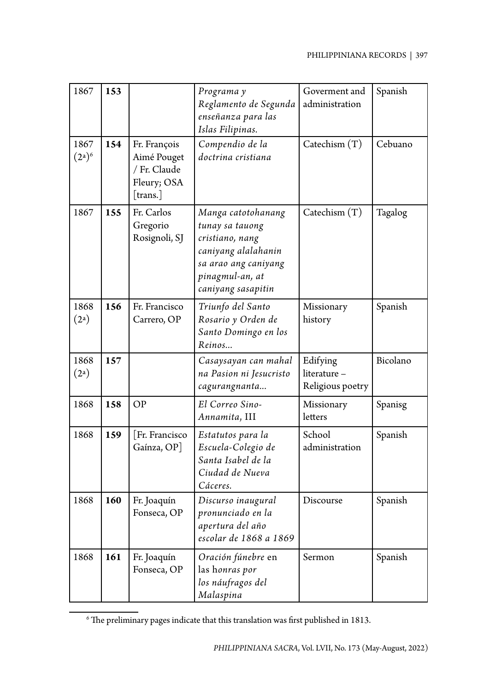| 1867                      | 153 |                                                                        | Programa y<br>Reglamento de Segunda<br>enseñanza para las<br>Islas Filipinas.                                                                    | Goverment and<br>administration             | Spanish  |
|---------------------------|-----|------------------------------------------------------------------------|--------------------------------------------------------------------------------------------------------------------------------------------------|---------------------------------------------|----------|
| 1867<br>$(2^a)^6$         | 154 | Fr. François<br>Aimé Pouget<br>/ Fr. Claude<br>Fleury; OSA<br>[trans.] | Compendio de la<br>doctrina cristiana                                                                                                            | Catechism $(T)$                             | Cebuano  |
| 1867                      | 155 | Fr. Carlos<br>Gregorio<br>Rosignoli, SJ                                | Manga catotohanang<br>tunay sa tauong<br>cristiano, nang<br>caniyang alalahanin<br>sa arao ang caniyang<br>pinagmul-an, at<br>caniyang sasapitin | Catechism $(T)$                             | Tagalog  |
| 1868<br>(2 <sup>a</sup> ) | 156 | Fr. Francisco<br>Carrero, OP                                           | Triunfo del Santo<br>Rosario y Orden de<br>Santo Domingo en los<br>Reinos                                                                        | Missionary<br>history                       | Spanish  |
| 1868<br>(2 <sup>a</sup> ) | 157 |                                                                        | Casaysayan can mahal<br>na Pasion ni Jesucristo<br>cagurangnanta                                                                                 | Edifying<br>literature-<br>Religious poetry | Bicolano |
| 1868                      | 158 | <b>OP</b>                                                              | El Correo Sino-<br>Annamita, III                                                                                                                 | Missionary<br>letters                       | Spanisg  |
| 1868                      | 159 | Fr. Francisco<br>Gaínza, OP]                                           | Estatutos para la<br>Escuela-Colegio de<br>Santa Isabel de la<br>Ciudad de Nueva<br>Cáceres.                                                     | School<br>administration                    | Spanish  |
| 1868                      | 160 | Fr. Joaquín<br>Fonseca, OP                                             | Discurso inaugural<br>pronunciado en la<br>apertura del año<br>escolar de 1868 a 1869                                                            | Discourse                                   | Spanish  |
| 1868                      | 161 | Fr. Joaquín<br>Fonseca, OP                                             | Oración fúnebre en<br>las honras por<br>los náufragos del<br>Malaspina                                                                           | Sermon                                      | Spanish  |

 $^6$  The preliminary pages indicate that this translation was first published in 1813.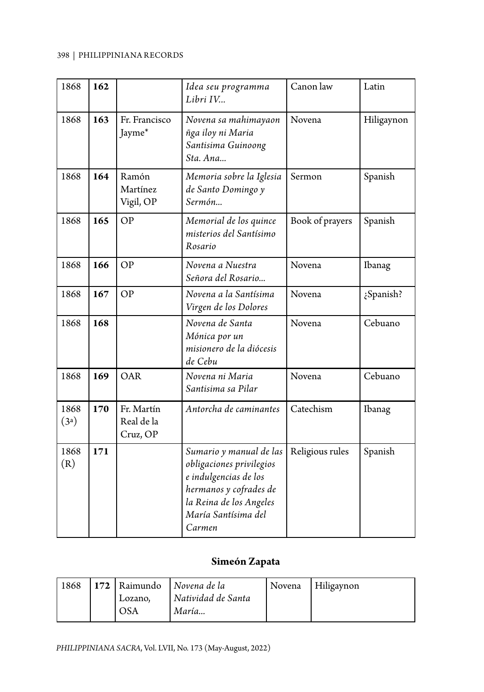| 1868         | 162 |                                      | Idea seu programma<br>Libri IV                                                                                                                                     | Canon law       | Latin      |
|--------------|-----|--------------------------------------|--------------------------------------------------------------------------------------------------------------------------------------------------------------------|-----------------|------------|
| 1868         | 163 | Fr. Francisco<br>Jayme*              | Novena sa mahimayaon<br>ñga iloy ni Maria<br>Santisima Guinoong<br>Sta. Ana                                                                                        | Novena          | Hiligaynon |
| 1868         | 164 | Ramón<br>Martínez<br>Vigil, OP       | Memoria sobre la Iglesia<br>de Santo Domingo y<br>Sermón                                                                                                           | Sermon          | Spanish    |
| 1868         | 165 | OP                                   | Memorial de los quince<br>misterios del Santísimo<br>Rosario                                                                                                       | Book of prayers | Spanish    |
| 1868         | 166 | OP                                   | Novena a Nuestra<br>Señora del Rosario                                                                                                                             | Novena          | Ibanag     |
| 1868         | 167 | <b>OP</b>                            | Novena a la Santísima<br>Virgen de los Dolores                                                                                                                     | Novena          | ¿Spanish?  |
| 1868         | 168 |                                      | Novena de Santa<br>Mónica por un<br>misionero de la diócesis<br>de Cebu                                                                                            | Novena          | Cebuano    |
| 1868         | 169 | OAR                                  | Novena ni Maria<br>Santisima sa Pilar                                                                                                                              | Novena          | Cebuano    |
| 1868<br>(3a) | 170 | Fr. Martín<br>Real de la<br>Cruz, OP | Antorcha de caminantes                                                                                                                                             | Catechism       | Ibanag     |
| 1868<br>(R)  | 171 |                                      | Sumario y manual de las<br>obligaciones privilegios<br>e indulgencias de los<br>hermanos y cofrades de<br>la Reina de los Angeles<br>María Santísima del<br>Carmen | Religious rules | Spanish    |

## **Simeón Zapata**

| 1868 | 172   Raimundo | Novena de la       | Novena | Hiligaynon |
|------|----------------|--------------------|--------|------------|
|      | Lozano.        | Natividad de Santa |        |            |
|      | `OSA           | María              |        |            |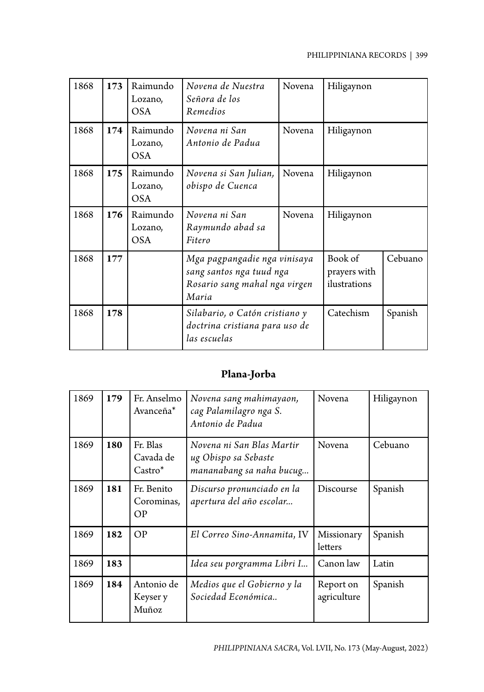| 1868 | 173 | Raimundo<br>Lozano,<br><b>OSA</b> | Novena de Nuestra<br>Señora de los<br>Remedios                                                     | Novena | Hiligaynon                              |         |
|------|-----|-----------------------------------|----------------------------------------------------------------------------------------------------|--------|-----------------------------------------|---------|
| 1868 | 174 | Raimundo<br>Lozano,<br><b>OSA</b> | Novena ni San<br>Antonio de Padua                                                                  | Novena | Hiligaynon                              |         |
| 1868 | 175 | Raimundo<br>Lozano,<br><b>OSA</b> | Novena si San Julian,<br>obispo de Cuenca                                                          | Novena | Hiligaynon                              |         |
| 1868 | 176 | Raimundo<br>Lozano,<br><b>OSA</b> | Novena ni San<br>Raymundo abad sa<br>Fitero                                                        | Novena | Hiligaynon                              |         |
| 1868 | 177 |                                   | Mga pagpangadie nga vinisaya<br>sang santos nga tuud nga<br>Rosario sang mahal nga virgen<br>Maria |        | Book of<br>prayers with<br>ilustrations | Cebuano |
| 1868 | 178 |                                   | Silabario, o Catón cristiano y<br>doctrina cristiana para uso de<br>las escuelas                   |        | Catechism                               | Spanish |

# **Plana-Jorba**

| 1869 | 179 | Fr. Anselmo<br>Avanceña <sup>*</sup> | Novena sang mahimayaon,<br>cag Palamilagro nga S.<br>Antonio de Padua         | Novena                   | Hiligaynon |
|------|-----|--------------------------------------|-------------------------------------------------------------------------------|--------------------------|------------|
| 1869 | 180 | Fr. Blas<br>Cavada de<br>$Castro^*$  | Novena ni San Blas Martir<br>ug Obispo sa Sebaste<br>mananabang sa naha bucug | Novena                   | Cebuano    |
| 1869 | 181 | Fr. Benito<br>Corominas,<br>OP       | Discurso pronunciado en la<br>apertura del año escolar                        | Discourse                | Spanish    |
| 1869 | 182 | OP                                   | El Correo Sino-Annamita, IV                                                   | Missionary<br>letters    | Spanish    |
| 1869 | 183 |                                      | Idea seu porgramma Libri I                                                    | Canon law                | Latin      |
| 1869 | 184 | Antonio de<br>Keyser y<br>Muñoz      | Medios que el Gobierno y la<br>Sociedad Económica                             | Report on<br>agriculture | Spanish    |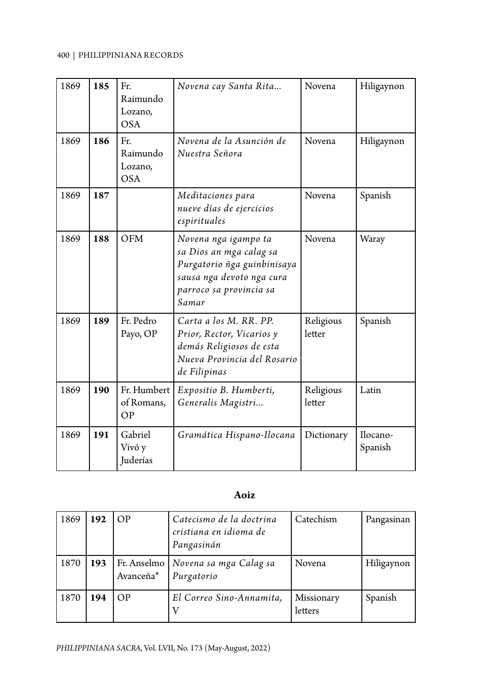| 1869 | 185 | Fr.<br>Raimundo<br>Lozano,<br><b>OSA</b> | Novena cay Santa Rita                                                                                                                           | Novena              | Hiligaynon          |
|------|-----|------------------------------------------|-------------------------------------------------------------------------------------------------------------------------------------------------|---------------------|---------------------|
| 1869 | 186 | Fr.<br>Raimundo<br>Lozano,<br><b>OSA</b> | Novena de la Asunción de<br>Nuestra Señora                                                                                                      | Novena              | Hiligaynon          |
| 1869 | 187 |                                          | Meditaciones para<br>nueve días de ejercicios<br>espirituales                                                                                   | Novena              | Spanish             |
| 1869 | 188 | <b>OFM</b>                               | Novena nga igampo ta<br>sa Dios an mga calag sa<br>Purgatorio ñga guinbinisaya<br>sausa nga devoto nga cura<br>parroco sa provincia sa<br>Samar | Novena              | Waray               |
| 1869 | 189 | Fr. Pedro<br>Payo, OP                    | Carta a los M. RR. PP.<br>Prior, Rector, Vicarios y<br>demás Religiosos de esta<br>Nueva Provincia del Rosario<br>de Filipinas                  | Religious<br>letter | Spanish             |
| 1869 | 190 | Fr. Humbert<br>of Romans,<br>OP          | Expositio B. Humberti,<br>Generalis Magistri                                                                                                    | Religious<br>letter | Latin               |
| 1869 | 191 | Gabriel<br>Vivó y<br>Juderías            | Gramática Hispano-Ilocana                                                                                                                       | Dictionary          | Ilocano-<br>Spanish |

### **Aoiz**

| 1869 | 192 | <b>OP</b>                | Catecismo de la doctrina<br>cristiana en idioma de<br>Pangasinán | Catechism             | Pangasinan |
|------|-----|--------------------------|------------------------------------------------------------------|-----------------------|------------|
| 1870 | 193 | Fr. Anselmo<br>Avanceña* | Novena sa mga Calag sa<br>Purgatorio                             | Novena                | Hiligaynon |
| 1870 | 194 | OP                       | El Correo Sino-Annamita,                                         | Missionary<br>letters | Spanish    |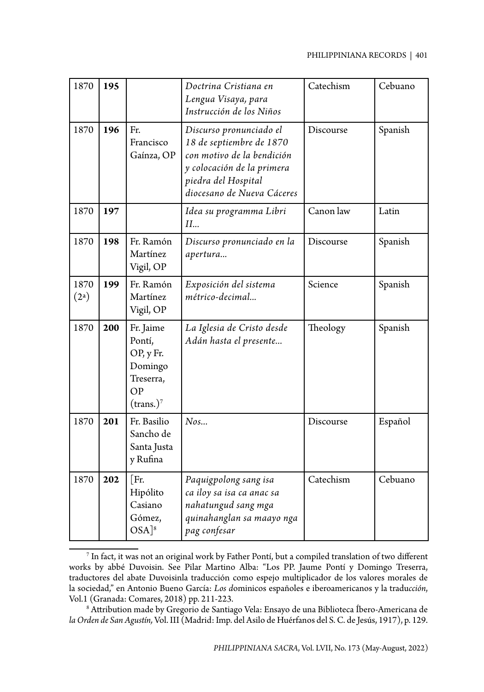| 1870                      | 195 |                                                                                | Doctrina Cristiana en<br>Lengua Visaya, para<br>Instrucción de los Niños                                                                                             | Catechism | Cebuano |
|---------------------------|-----|--------------------------------------------------------------------------------|----------------------------------------------------------------------------------------------------------------------------------------------------------------------|-----------|---------|
| 1870                      | 196 | Fr.<br>Francisco<br>Gaínza, OP                                                 | Discurso pronunciado el<br>18 de septiembre de 1870<br>con motivo de la bendición<br>y colocación de la primera<br>piedra del Hospital<br>diocesano de Nueva Cáceres | Discourse | Spanish |
| 1870                      | 197 |                                                                                | Idea su programma Libri<br>II                                                                                                                                        | Canon law | Latin   |
| 1870                      | 198 | Fr. Ramón<br>Martínez<br>Vigil, OP                                             | Discurso pronunciado en la<br>apertura                                                                                                                               | Discourse | Spanish |
| 1870<br>(2 <sup>a</sup> ) | 199 | Fr. Ramón<br>Martínez<br>Vigil, OP                                             | Exposición del sistema<br>métrico-decimal                                                                                                                            | Science   | Spanish |
| 1870                      | 200 | Fr. Jaime<br>Pontí,<br>OP, y Fr.<br>Domingo<br>Treserra,<br>OP<br>$(trans.)^7$ | La Iglesia de Cristo desde<br>Adán hasta el presente                                                                                                                 | Theology  | Spanish |
| 1870                      | 201 | Fr. Basilio<br>Sancho de<br>Santa Justa<br>y Rufina                            | $N$ os                                                                                                                                                               | Discourse | Español |
| 1870                      | 202 | [Fr.<br>Hipólito<br>Casiano<br>Gómez,<br>$OSA$ <sup>8</sup>                    | Paquigpolong sang isa<br>ca iloy sa isa ca anac sa<br>nahatungud sang mga<br>quinahanglan sa maayo nga<br>pag confesar                                               | Catechism | Cebuano |

 $^7$  In fact, it was not an original work by Father Pontí, but a compiled translation of two different works by abbé Duvoisin. See Pilar Martino Alba: "Los PP. Jaume Pontí y Domingo Treserra, traductores del abate Duvoisinla traducción como espejo multiplicador de los valores morales de la sociedad," en Antonio Bueno García: *Los d*ominicos españoles e iberoamericanos y la tradu*cción*, Vol.1 (Granada: Comares, 2018) pp. 211-223. 8

 Attribution made by Gregorio de Santiago Vela: Ensayo de una Biblioteca Íbero-Americana de *la Orden de San Agustín,* Vol. III (Madrid: Imp. del Asilo de Huérfanos del S. C. de Jesús, 1917), p. 129.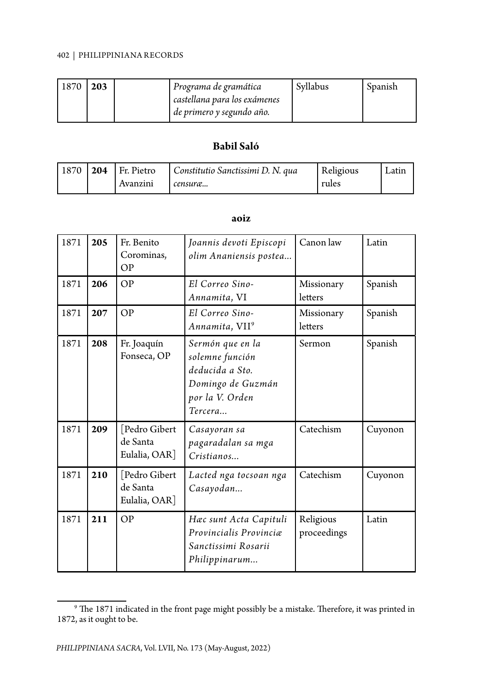| $1870$   203 |  | Programa de gramática        | Svllabus | Spanish |
|--------------|--|------------------------------|----------|---------|
|              |  | castellana para los exámenes |          |         |
|              |  | de primero y segundo año.    |          |         |

#### **Babil Saló**

| $1870$   204 | I Fr. Pietro | Constitutio Sanctissimi D. N. qua | Religious | Latin |
|--------------|--------------|-----------------------------------|-----------|-------|
|              | Avanzini     | censura                           | rules     |       |

#### **aoiz**

| 1871 | 205 | Fr. Benito<br>Corominas,<br>OP            | Joannis devoti Episcopi<br>olim Ananiensis postea                                                         | Canon law                | Latin   |
|------|-----|-------------------------------------------|-----------------------------------------------------------------------------------------------------------|--------------------------|---------|
| 1871 | 206 | <b>OP</b>                                 | El Correo Sino-<br>Annamita, VI                                                                           | Missionary<br>letters    | Spanish |
| 1871 | 207 | OP                                        | El Correo Sino-<br>Annamita, VII <sup>9</sup>                                                             | Missionary<br>letters    | Spanish |
| 1871 | 208 | Fr. Joaquín<br>Fonseca, OP                | Sermón que en la<br>solemne función<br>deducida a Sto.<br>Domingo de Guzmán<br>por la V. Orden<br>Tercera | Sermon                   | Spanish |
| 1871 | 209 | Pedro Gibert<br>de Santa<br>Eulalia, OAR] | Casayoran sa<br>pagaradalan sa mga<br>Cristianos                                                          | Catechism                | Cuyonon |
| 1871 | 210 | Pedro Gibert<br>de Santa<br>Eulalia, OAR] | Lacted nga tocsoan nga<br>Casayodan                                                                       | Catechism                | Cuyonon |
| 1871 | 211 | OP                                        | Hæc sunt Acta Capituli<br>Provincialis Provinciæ<br>Sanctissimi Rosarii<br>Philippinarum                  | Religious<br>proceedings | Latin   |

 $^9$  The 1871 indicated in the front page might possibly be a mistake. Therefore, it was printed in 1872, as it ought to be.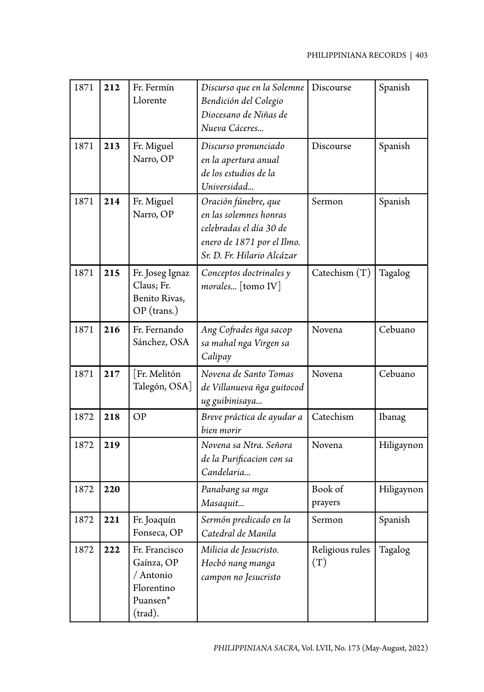| 1871 | 212 | Fr. Fermín<br>Llorente                                                        | Discurso que en la Solemne<br>Bendición del Colegio<br>Diocesano de Niñas de<br>Nueva Cáceres                                         | Discourse                    | Spanish    |
|------|-----|-------------------------------------------------------------------------------|---------------------------------------------------------------------------------------------------------------------------------------|------------------------------|------------|
| 1871 | 213 | Fr. Miguel<br>Narro, OP                                                       | Discurso pronunciado<br>en la apertura anual<br>de los estudios de la<br>Universidad                                                  | Discourse                    | Spanish    |
| 1871 | 214 | Fr. Miguel<br>Narro, OP                                                       | Oración fúnebre, que<br>en las solemnes honras<br>celebradas el día 30 de<br>enero de 1871 por el Ilmo.<br>Sr. D. Fr. Hilario Alcázar | Sermon                       | Spanish    |
| 1871 | 215 | Fr. Joseg Ignaz<br>Claus; Fr.<br>Benito Rivas,<br>$OP$ (trans.)               | Conceptos doctrinales y<br>morales [tomo IV]                                                                                          | $\text{Catechism}(\text{T})$ | Tagalog    |
| 1871 | 216 | Fr. Fernando<br>Sánchez, OSA                                                  | Ang Cofrades ñga sacop<br>sa mahal nga Virgen sa<br>Calipay                                                                           | Novena                       | Cebuano    |
| 1871 | 217 | Fr. Melitón<br>Talegón, OSA]                                                  | Novena de Santo Tomas<br>de Villanueva ñga guitocod<br>ug guibinisaya                                                                 | Novena                       | Cebuano    |
| 1872 | 218 | OP                                                                            | Breve práctica de ayudar a<br>bien morir                                                                                              | Catechism                    | Ibanag     |
| 1872 | 219 |                                                                               | Novena sa Ntra. Señora<br>de la Purificacion con sa<br>Candelaria                                                                     | Novena                       | Hiligaynon |
| 1872 | 220 |                                                                               | Panabang sa mga<br>Masaquit                                                                                                           | Book of<br>prayers           | Hiligaynon |
| 1872 | 221 | Fr. Joaquín<br>Fonseca, OP                                                    | Sermón predicado en la<br>Catedral de Manila                                                                                          | Sermon                       | Spanish    |
| 1872 | 222 | Fr. Francisco<br>Gaínza, OP<br>/ Antonio<br>Florentino<br>Puansen*<br>(trad). | Milicia de Jesucristo.<br>Hocbó nang manga<br>campon no Jesucristo                                                                    | Religious rules<br>(T)       | Tagalog    |